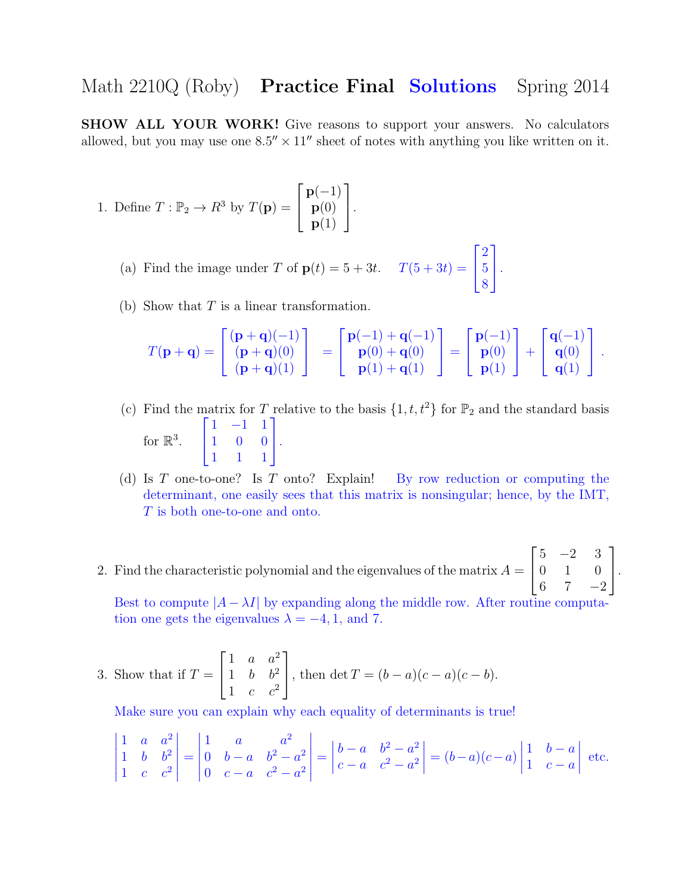## Math 2210Q (Roby) **Practice Final Solutions** Spring 2014

SHOW ALL YOUR WORK! Give reasons to support your answers. No calculators allowed, but you may use one  $8.5'' \times 11''$  sheet of notes with anything you like written on it.

- 1. Define  $T: \mathbb{P}_2 \to R^3$  by  $T(\mathbf{p}) =$  $\sqrt{ }$  $\vert$  $p(-1)$  $\mathbf{p}(0)$  ${\bf p}(1)$ 1  $\vert \cdot$ 
	- (a) Find the image under T of  $p(t) = 5 + 3t$ .  $T(5 + 3t) =$  $\sqrt{ }$  $\mathbf{I}$ 2 5 8 1  $\vert \cdot$
	- (b) Show that  $T$  is a linear transformation.

$$
T(\mathbf{p} + \mathbf{q}) = \begin{bmatrix} (\mathbf{p} + \mathbf{q})(-1) \\ (\mathbf{p} + \mathbf{q})(0) \\ (\mathbf{p} + \mathbf{q})(1) \end{bmatrix} = \begin{bmatrix} \mathbf{p}(-1) + \mathbf{q}(-1) \\ \mathbf{p}(0) + \mathbf{q}(0) \\ \mathbf{p}(1) + \mathbf{q}(1) \end{bmatrix} = \begin{bmatrix} \mathbf{p}(-1) \\ \mathbf{p}(0) \\ \mathbf{p}(1) \end{bmatrix} + \begin{bmatrix} \mathbf{q}(-1) \\ \mathbf{q}(0) \\ \mathbf{q}(1) \end{bmatrix}.
$$

- (c) Find the matrix for T relative to the basis  $\{1, t, t^2\}$  for  $\mathbb{P}_2$  and the standard basis for  $\mathbb{R}^3$ .  $\sqrt{ }$  $\mathbf{I}$ 1 −1 1 1 0 0 1 1 1 1  $\vert \cdot$
- (d) Is T one-to-one? Is T onto? Explain! By row reduction or computing the determinant, one easily sees that this matrix is nonsingular; hence, by the IMT, T is both one-to-one and onto.
- 2. Find the characteristic polynomial and the eigenvalues of the matrix  $A =$  $\sqrt{ }$  $\overline{1}$  $5 -2 3$ 0 1 0 6 7  $-2$ 1  $\vert \cdot$

Best to compute  $|A - \lambda I|$  by expanding along the middle row. After routine computation one gets the eigenvalues  $\lambda = -4, 1,$  and 7.

3. Show that if 
$$
T = \begin{bmatrix} 1 & a & a^2 \\ 1 & b & b^2 \\ 1 & c & c^2 \end{bmatrix}
$$
, then  $\det T = (b - a)(c - a)(c - b)$ .

Make sure you can explain why each equality of determinants is true!

$$
\begin{vmatrix} 1 & a & a^2 \\ 1 & b & b^2 \\ 1 & c & c^2 \end{vmatrix} = \begin{vmatrix} 1 & a & a^2 \\ 0 & b - a & b^2 - a^2 \\ 0 & c - a & c^2 - a^2 \end{vmatrix} = \begin{vmatrix} b - a & b^2 - a^2 \\ c - a & c^2 - a^2 \end{vmatrix} = (b - a)(c - a) \begin{vmatrix} 1 & b - a \\ 1 & c - a \end{vmatrix}
$$
 etc.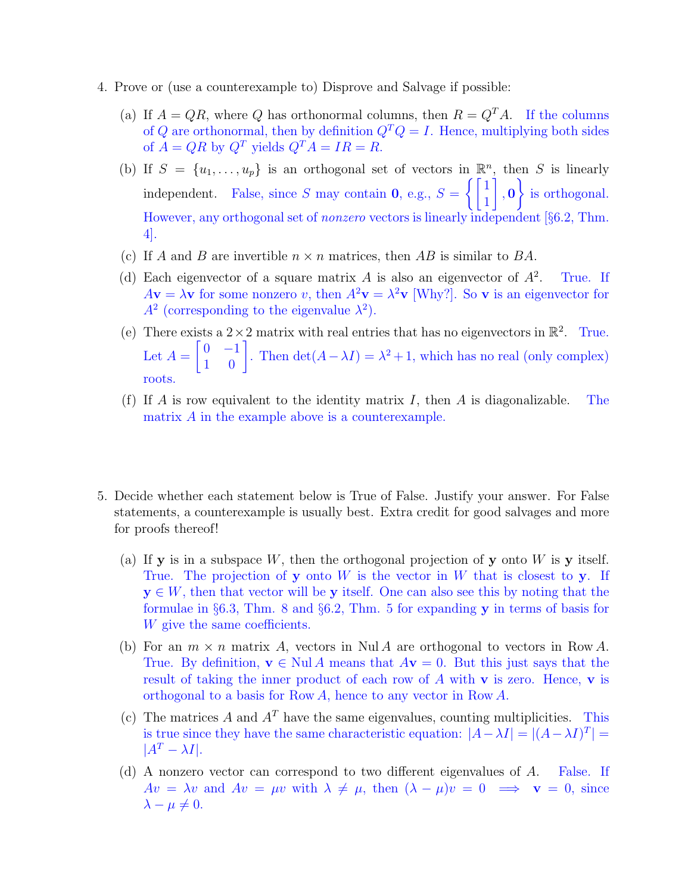- 4. Prove or (use a counterexample to) Disprove and Salvage if possible:
	- (a) If  $A = QR$ , where Q has orthonormal columns, then  $R = Q<sup>T</sup>A$ . If the columns of Q are orthonormal, then by definition  $Q^T Q = I$ . Hence, multiplying both sides of  $A = QR$  by  $Q^T$  yields  $Q^T A = IR = R$ .
	- (b) If  $S = \{u_1, \ldots, u_p\}$  is an orthogonal set of vectors in  $\mathbb{R}^n$ , then S is linearly independent. False, since S may contain **0**, e.g.,  $S = \begin{cases} \begin{bmatrix} 1 \\ 1 \end{bmatrix}$ 1 1 , 0 <sup>1</sup> is orthogonal. However, any orthogonal set of nonzero vectors is linearly independent [§6.2, Thm. 4].
	- (c) If A and B are invertible  $n \times n$  matrices, then AB is similar to BA.
	- (d) Each eigenvector of a square matrix A is also an eigenvector of  $A^2$ . . True. If  $A\mathbf{v} = \lambda \mathbf{v}$  for some nonzero v, then  $A^2\mathbf{v} = \lambda^2 \mathbf{v}$  [Why?]. So v is an eigenvector for  $A<sup>2</sup>$  (corresponding to the eigenvalue  $\lambda<sup>2</sup>$ ).
	- (e) There exists a  $2 \times 2$  matrix with real entries that has no eigenvectors in  $\mathbb{R}^2$ . True. Let  $A =$  $\begin{bmatrix} 0 & -1 \\ 1 & 0 \end{bmatrix}$ . Then  $\det(A - \lambda I) = \lambda^2 + 1$ , which has no real (only complex) roots.
	- (f) If A is row equivalent to the identity matrix I, then A is diagonalizable. The matrix A in the example above is a counterexample.
- 5. Decide whether each statement below is True of False. Justify your answer. For False statements, a counterexample is usually best. Extra credit for good salvages and more for proofs thereof!
	- (a) If **y** is in a subspace  $W$ , then the orthogonal projection of **y** onto  $W$  is **y** itself. True. The projection of y onto  $W$  is the vector in  $W$  that is closest to y. If  $y \in W$ , then that vector will be y itself. One can also see this by noting that the formulae in §6.3, Thm. 8 and §6.2, Thm. 5 for expanding y in terms of basis for W give the same coefficients.
	- (b) For an  $m \times n$  matrix A, vectors in Nul A are orthogonal to vectors in Row A. True. By definition,  $\mathbf{v} \in \text{Nul } A$  means that  $A\mathbf{v} = 0$ . But this just says that the result of taking the inner product of each row of  $A$  with  $\bf{v}$  is zero. Hence,  $\bf{v}$  is orthogonal to a basis for Row A, hence to any vector in Row A.
	- (c) The matrices A and  $A<sup>T</sup>$  have the same eigenvalues, counting multiplicities. This is true since they have the same characteristic equation:  $|A - \lambda I| = |(A - \lambda I)^{T}|$  $|A^T - \lambda I|.$
	- (d) A nonzero vector can correspond to two different eigenvalues of A. False. If  $Av = \lambda v$  and  $Av = \mu v$  with  $\lambda \neq \mu$ , then  $(\lambda - \mu)v = 0 \implies v = 0$ , since  $\lambda - \mu \neq 0.$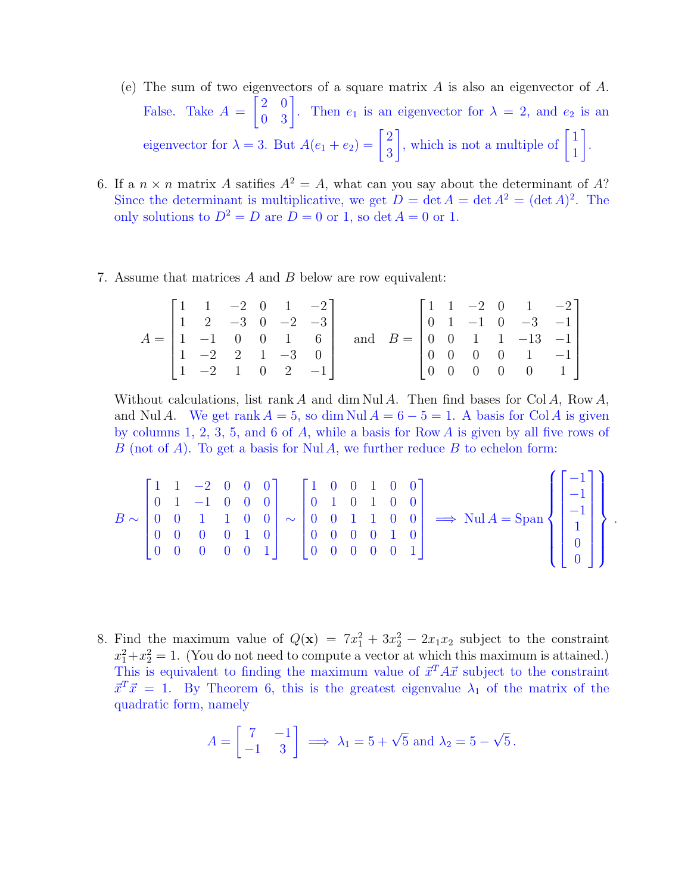- (e) The sum of two eigenvectors of a square matrix A is also an eigenvector of A. False. Take  $A =$  $\begin{bmatrix} 2 & 0 \\ 0 & 3 \end{bmatrix}$ . Then  $e_1$  is an eigenvector for  $\lambda = 2$ , and  $e_2$  is an eigenvector for  $\lambda = 3$ . But  $A(e_1 + e_2) = \begin{bmatrix} 2 \\ 2 \end{bmatrix}$ 3 , which is not a multiple of  $\begin{bmatrix} 1 \\ 1 \end{bmatrix}$ 1 1 .
- 6. If a  $n \times n$  matrix A satifies  $A^2 = A$ , what can you say about the determinant of A? Since the determinant is multiplicative, we get  $D = \det A = \det A^2 = (\det A)^2$ . The only solutions to  $D^2 = D$  are  $D = 0$  or 1, so det  $A = 0$  or 1.
- 7. Assume that matrices A and B below are row equivalent:

$$
A = \begin{bmatrix} 1 & 1 & -2 & 0 & 1 & -2 \\ 1 & 2 & -3 & 0 & -2 & -3 \\ 1 & -1 & 0 & 0 & 1 & 6 \\ 1 & -2 & 2 & 1 & -3 & 0 \\ 1 & -2 & 1 & 0 & 2 & -1 \end{bmatrix} \text{ and } B = \begin{bmatrix} 1 & 1 & -2 & 0 & 1 & -2 \\ 0 & 1 & -1 & 0 & -3 & -1 \\ 0 & 0 & 1 & 1 & -13 & -1 \\ 0 & 0 & 0 & 0 & 1 & -1 \\ 0 & 0 & 0 & 0 & 0 & 1 \end{bmatrix}
$$

Without calculations, list rank A and dim Nul A. Then find bases for Col A, Row A, and Nul A. We get rank  $A = 5$ , so dim Nul  $A = 6 - 5 = 1$ . A basis for Col A is given by columns 1, 2, 3, 5, and 6 of  $A$ , while a basis for Row  $A$  is given by all five rows of B (not of A). To get a basis for Nul A, we further reduce B to echelon form:

$$
B \sim \begin{bmatrix} 1 & 1 & -2 & 0 & 0 & 0 \\ 0 & 1 & -1 & 0 & 0 & 0 \\ 0 & 0 & 1 & 1 & 0 & 0 \\ 0 & 0 & 0 & 0 & 1 & 0 \\ 0 & 0 & 0 & 0 & 0 & 1 \end{bmatrix} \sim \begin{bmatrix} 1 & 0 & 0 & 1 & 0 & 0 \\ 0 & 1 & 0 & 1 & 0 & 0 \\ 0 & 0 & 1 & 1 & 0 & 0 \\ 0 & 0 & 0 & 0 & 1 & 0 \\ 0 & 0 & 0 & 0 & 0 & 1 \end{bmatrix} \implies \text{Nul } A = \text{Span} \left\{ \begin{bmatrix} -1 \\ -1 \\ -1 \\ 1 \\ 0 \\ 0 \end{bmatrix} \right\}.
$$

8. Find the maximum value of  $Q(\mathbf{x}) = 7x_1^2 + 3x_2^2 - 2x_1x_2$  subject to the constraint  $x_1^2 + x_2^2 = 1$ . (You do not need to compute a vector at which this maximum is attained.) This is equivalent to finding the maximum value of  $\vec{x}^T A \vec{x}$  subject to the constraint  $\vec{x}^T \vec{x} = 1$ . By Theorem 6, this is the greatest eigenvalue  $\lambda_1$  of the matrix of the quadratic form, namely

$$
A = \begin{bmatrix} 7 & -1 \\ -1 & 3 \end{bmatrix} \implies \lambda_1 = 5 + \sqrt{5} \text{ and } \lambda_2 = 5 - \sqrt{5}.
$$